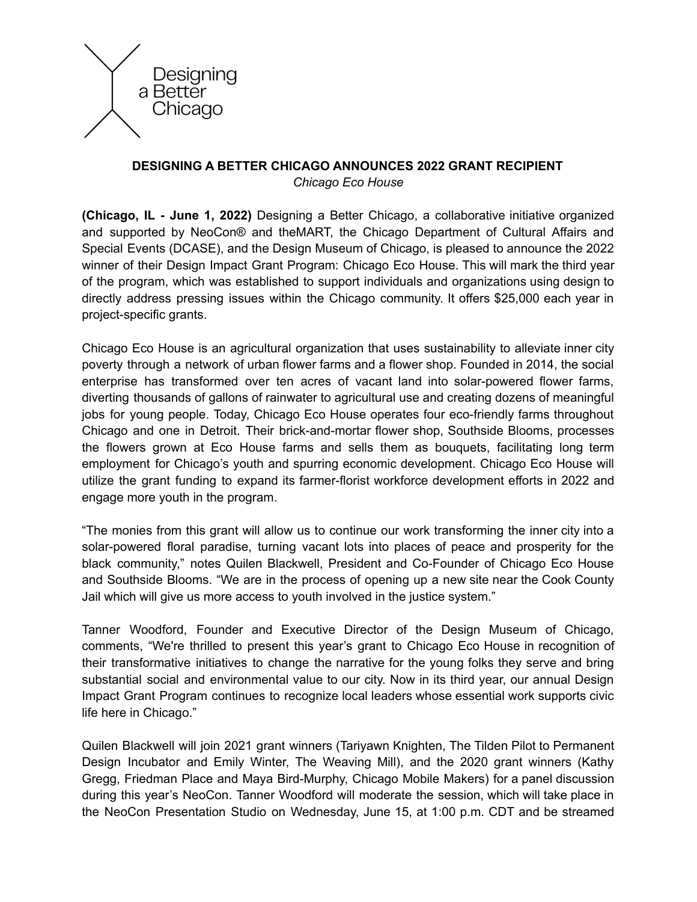

## **DESIGNING A BETTER CHICAGO ANNOUNCES 2022 GRANT RECIPIENT** *Chicago Eco House*

**(Chicago, IL - June 1, 2022)** Designing a Better Chicago, a collaborative initiative organized and supported by NeoCon® and theMART, the Chicago Department of Cultural Affairs and Special Events (DCASE), and the Design Museum of Chicago, is pleased to announce the 2022 winner of their Design Impact Grant Program: Chicago Eco House. This will mark the third year of the program, which was established to support individuals and organizations using design to directly address pressing issues within the Chicago community. It offers \$25,000 each year in project-specific grants.

Chicago Eco House is an agricultural organization that uses sustainability to alleviate inner city poverty through a network of urban flower farms and a flower shop. Founded in 2014, the social enterprise has transformed over ten acres of vacant land into solar-powered flower farms, diverting thousands of gallons of rainwater to agricultural use and creating dozens of meaningful jobs for young people. Today, Chicago Eco House operates four eco-friendly farms throughout Chicago and one in Detroit. Their brick-and-mortar flower shop, Southside Blooms, processes the flowers grown at Eco House farms and sells them as bouquets, facilitating long term employment for Chicago's youth and spurring economic development. Chicago Eco House will utilize the grant funding to expand its farmer-florist workforce development efforts in 2022 and engage more youth in the program.

"The monies from this grant will allow us to continue our work transforming the inner city into a solar-powered floral paradise, turning vacant lots into places of peace and prosperity for the black community," notes Quilen Blackwell, President and Co-Founder of Chicago Eco House and Southside Blooms. "We are in the process of opening up a new site near the Cook County Jail which will give us more access to youth involved in the justice system."

Tanner Woodford, Founder and Executive Director of the Design Museum of Chicago, comments, "We're thrilled to present this year's grant to Chicago Eco House in recognition of their transformative initiatives to change the narrative for the young folks they serve and bring substantial social and environmental value to our city. Now in its third year, our annual Design Impact Grant Program continues to recognize local leaders whose essential work supports civic life here in Chicago."

Quilen Blackwell will join 2021 grant winners (Tariyawn Knighten, The Tilden Pilot to Permanent Design Incubator and Emily Winter, The Weaving Mill), and the 2020 grant winners (Kathy Gregg, Friedman Place and Maya Bird-Murphy, Chicago Mobile Makers) for a panel discussion during this year's NeoCon. Tanner Woodford will moderate the session, which will take place in the NeoCon Presentation Studio on Wednesday, June 15, at 1:00 p.m. CDT and be streamed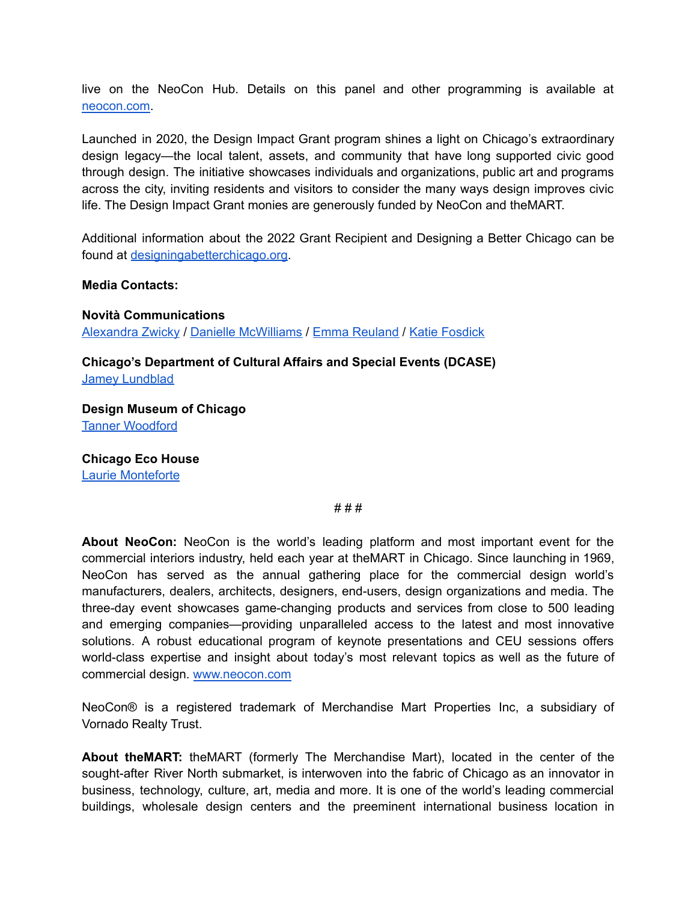live on the NeoCon Hub. Details on this panel and other programming is available at [neocon.com.](http://neocon.com)

Launched in 2020, the Design Impact Grant program shines a light on Chicago's extraordinary design legacy—the local talent, assets, and community that have long supported civic good through design. The initiative showcases individuals and organizations, public art and programs across the city, inviting residents and visitors to consider the many ways design improves civic life. The Design Impact Grant monies are generously funded by NeoCon and theMART.

Additional information about the 2022 Grant Recipient and Designing a Better Chicago can be found at [designingabetterchicago.org.](http://designingabetterchicago.org)

**Media Contacts:**

**Novità Communications** [Alexandra](mailto:alexandra@novitapr.com) Zwicky / Danielle [McWilliams](mailto:danielle@novitapr.com) / Emma [Reuland](mailto:emma@novitapr.com) / Katie [Fosdick](mailto:katiefosdick@novitapr.com)

**Chicago's Department of Cultural Affairs and Special Events (DCASE) Jamey [Lundblad](mailto:Jamey.Lundblad@cityofchicago.org)** 

**Design Museum of Chicago** Tanner [Woodford](mailto:tanner@designchicago.org)

**Chicago Eco House** Laurie [Monteforte](mailto:laurie@strongmountainmedia.com)

# # #

**About NeoCon:** NeoCon is the world's leading platform and most important event for the commercial interiors industry, held each year at theMART in Chicago. Since launching in 1969, NeoCon has served as the annual gathering place for the commercial design world's manufacturers, dealers, architects, designers, end-users, design organizations and media. The three-day event showcases game-changing products and services from close to 500 leading and emerging companies—providing unparalleled access to the latest and most innovative solutions. A robust educational program of keynote presentations and CEU sessions offers world-class expertise and insight about today's most relevant topics as well as the future of commercial design. [www.neocon.com](https://novitapr.us19.list-manage.com/track/click?u=f2437c341c2d477889d2e3931&id=009ec41c49&e=cda661e2e2)

NeoCon® is a registered trademark of Merchandise Mart Properties Inc, a subsidiary of Vornado Realty Trust.

**About theMART:** theMART (formerly The Merchandise Mart), located in the center of the sought-after River North submarket, is interwoven into the fabric of Chicago as an innovator in business, technology, culture, art, media and more. It is one of the world's leading commercial buildings, wholesale design centers and the preeminent international business location in